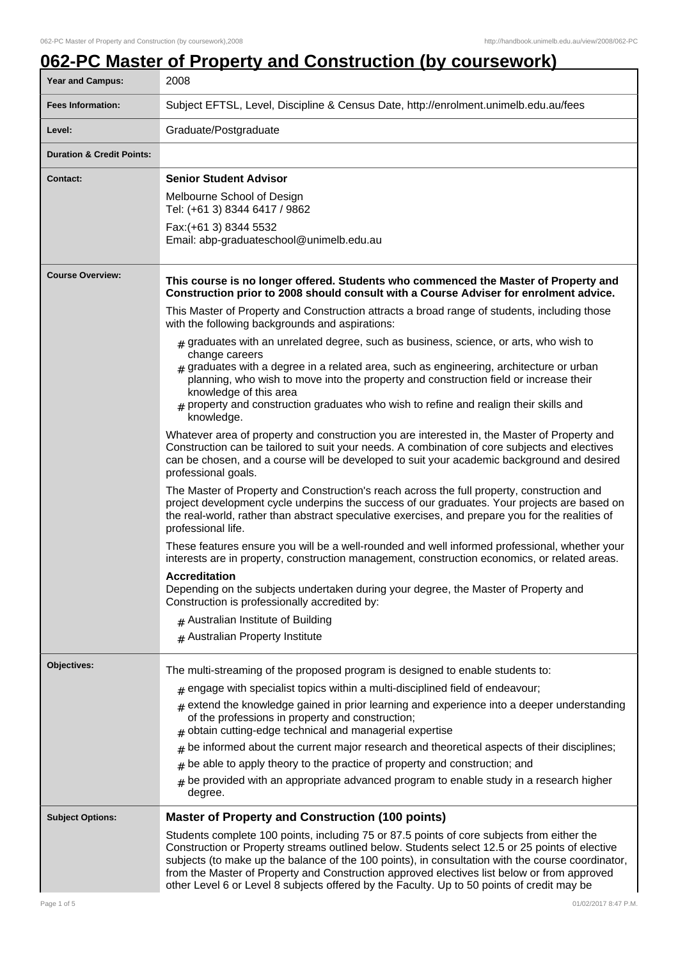# **062-PC Master of Property and Construction (by coursework)**

| Year and Campus:                     | 2008                                                                                                                                                                                                                                                                                                                                                                                                                                                                                                                                                                                                                                                                                                                                                                                                                                                                                                                                                                                                                                                                                                                                                                                                                                                                                                                                                                                                                                                                                                                                                                                                                                                                                                                                                                                                                                                                    |
|--------------------------------------|-------------------------------------------------------------------------------------------------------------------------------------------------------------------------------------------------------------------------------------------------------------------------------------------------------------------------------------------------------------------------------------------------------------------------------------------------------------------------------------------------------------------------------------------------------------------------------------------------------------------------------------------------------------------------------------------------------------------------------------------------------------------------------------------------------------------------------------------------------------------------------------------------------------------------------------------------------------------------------------------------------------------------------------------------------------------------------------------------------------------------------------------------------------------------------------------------------------------------------------------------------------------------------------------------------------------------------------------------------------------------------------------------------------------------------------------------------------------------------------------------------------------------------------------------------------------------------------------------------------------------------------------------------------------------------------------------------------------------------------------------------------------------------------------------------------------------------------------------------------------------|
| <b>Fees Information:</b>             | Subject EFTSL, Level, Discipline & Census Date, http://enrolment.unimelb.edu.au/fees                                                                                                                                                                                                                                                                                                                                                                                                                                                                                                                                                                                                                                                                                                                                                                                                                                                                                                                                                                                                                                                                                                                                                                                                                                                                                                                                                                                                                                                                                                                                                                                                                                                                                                                                                                                    |
| Level:                               | Graduate/Postgraduate                                                                                                                                                                                                                                                                                                                                                                                                                                                                                                                                                                                                                                                                                                                                                                                                                                                                                                                                                                                                                                                                                                                                                                                                                                                                                                                                                                                                                                                                                                                                                                                                                                                                                                                                                                                                                                                   |
| <b>Duration &amp; Credit Points:</b> |                                                                                                                                                                                                                                                                                                                                                                                                                                                                                                                                                                                                                                                                                                                                                                                                                                                                                                                                                                                                                                                                                                                                                                                                                                                                                                                                                                                                                                                                                                                                                                                                                                                                                                                                                                                                                                                                         |
| <b>Contact:</b>                      | <b>Senior Student Advisor</b><br>Melbourne School of Design<br>Tel: (+61 3) 8344 6417 / 9862<br>Fax: (+61 3) 8344 5532<br>Email: abp-graduateschool@unimelb.edu.au                                                                                                                                                                                                                                                                                                                                                                                                                                                                                                                                                                                                                                                                                                                                                                                                                                                                                                                                                                                                                                                                                                                                                                                                                                                                                                                                                                                                                                                                                                                                                                                                                                                                                                      |
| <b>Course Overview:</b>              | This course is no longer offered. Students who commenced the Master of Property and<br>Construction prior to 2008 should consult with a Course Adviser for enrolment advice.<br>This Master of Property and Construction attracts a broad range of students, including those<br>with the following backgrounds and aspirations:<br>$#$ graduates with an unrelated degree, such as business, science, or arts, who wish to<br>change careers<br>$_{\text{\#}}$ graduates with a degree in a related area, such as engineering, architecture or urban<br>planning, who wish to move into the property and construction field or increase their<br>knowledge of this area<br>property and construction graduates who wish to refine and realign their skills and<br>knowledge.<br>Whatever area of property and construction you are interested in, the Master of Property and<br>Construction can be tailored to suit your needs. A combination of core subjects and electives<br>can be chosen, and a course will be developed to suit your academic background and desired<br>professional goals.<br>The Master of Property and Construction's reach across the full property, construction and<br>project development cycle underpins the success of our graduates. Your projects are based on<br>the real-world, rather than abstract speculative exercises, and prepare you for the realities of<br>professional life.<br>These features ensure you will be a well-rounded and well informed professional, whether your<br>interests are in property, construction management, construction economics, or related areas.<br><b>Accreditation</b><br>Depending on the subjects undertaken during your degree, the Master of Property and<br>Construction is professionally accredited by:<br>$#$ Australian Institute of Building<br># Australian Property Institute |
| Objectives:                          | The multi-streaming of the proposed program is designed to enable students to:<br>$#$ engage with specialist topics within a multi-disciplined field of endeavour;<br>$_{\text{\#}}$ extend the knowledge gained in prior learning and experience into a deeper understanding<br>of the professions in property and construction;<br>obtain cutting-edge technical and managerial expertise<br>#<br>be informed about the current major research and theoretical aspects of their disciplines;<br>#<br>be able to apply theory to the practice of property and construction; and<br>be provided with an appropriate advanced program to enable study in a research higher<br>#<br>degree.                                                                                                                                                                                                                                                                                                                                                                                                                                                                                                                                                                                                                                                                                                                                                                                                                                                                                                                                                                                                                                                                                                                                                                               |
| <b>Subject Options:</b>              | <b>Master of Property and Construction (100 points)</b><br>Students complete 100 points, including 75 or 87.5 points of core subjects from either the<br>Construction or Property streams outlined below. Students select 12.5 or 25 points of elective<br>subjects (to make up the balance of the 100 points), in consultation with the course coordinator,<br>from the Master of Property and Construction approved electives list below or from approved<br>other Level 6 or Level 8 subjects offered by the Faculty. Up to 50 points of credit may be                                                                                                                                                                                                                                                                                                                                                                                                                                                                                                                                                                                                                                                                                                                                                                                                                                                                                                                                                                                                                                                                                                                                                                                                                                                                                                               |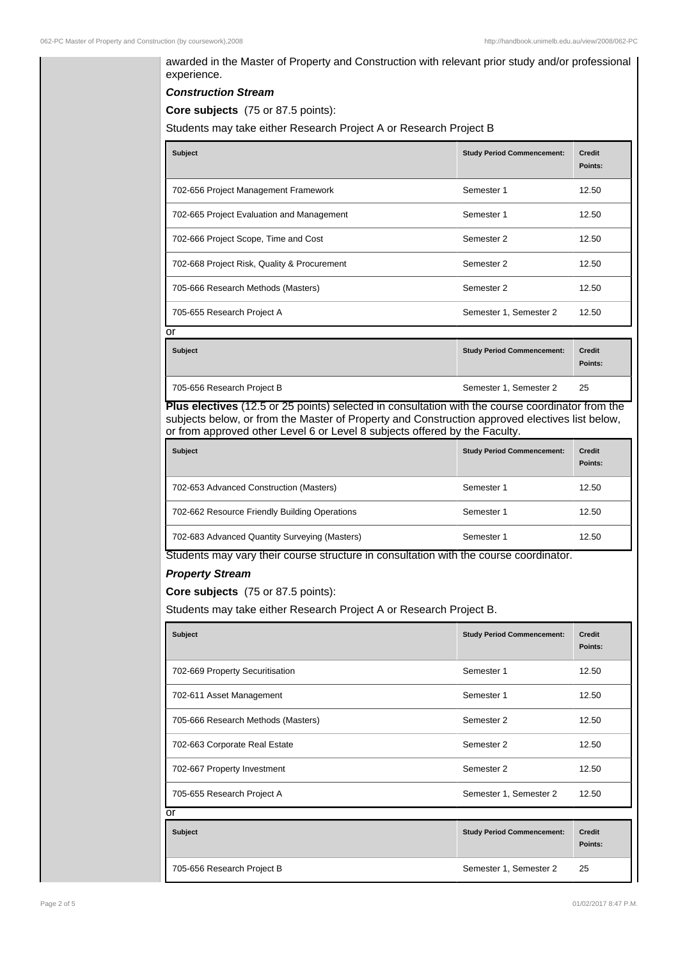| <b>Construction Stream</b>                                                                                                                                                   |                                   |                          |
|------------------------------------------------------------------------------------------------------------------------------------------------------------------------------|-----------------------------------|--------------------------|
| Core subjects (75 or 87.5 points):                                                                                                                                           |                                   |                          |
| Students may take either Research Project A or Research Project B                                                                                                            |                                   |                          |
| <b>Subject</b>                                                                                                                                                               | <b>Study Period Commencement:</b> | <b>Credit</b><br>Points: |
| 702-656 Project Management Framework                                                                                                                                         | Semester 1                        | 12.50                    |
| 702-665 Project Evaluation and Management                                                                                                                                    | Semester 1                        | 12.50                    |
| 702-666 Project Scope, Time and Cost                                                                                                                                         | Semester 2                        | 12.50                    |
| 702-668 Project Risk, Quality & Procurement                                                                                                                                  | Semester 2                        | 12.50                    |
| 705-666 Research Methods (Masters)                                                                                                                                           | Semester 2                        | 12.50                    |
| 705-655 Research Project A                                                                                                                                                   | Semester 1, Semester 2            | 12.50                    |
| or                                                                                                                                                                           |                                   |                          |
| <b>Subject</b>                                                                                                                                                               | <b>Study Period Commencement:</b> | <b>Credit</b><br>Points: |
| 705-656 Research Project B                                                                                                                                                   | Semester 1, Semester 2            | 25                       |
| Plus electives (12.5 or 25 points) selected in consultation with the course coordinator from the                                                                             |                                   |                          |
| subjects below, or from the Master of Property and Construction approved electives list below,<br>or from approved other Level 6 or Level 8 subjects offered by the Faculty. |                                   |                          |
| <b>Subject</b>                                                                                                                                                               | <b>Study Period Commencement:</b> | <b>Credit</b>            |
|                                                                                                                                                                              |                                   | Points:                  |
| 702-653 Advanced Construction (Masters)                                                                                                                                      | Semester 1                        | 12.50                    |
| 702-662 Resource Friendly Building Operations                                                                                                                                | Semester 1                        | 12.50                    |
| 702-683 Advanced Quantity Surveying (Masters)                                                                                                                                | Semester 1                        | 12.50                    |
| Students may vary their course structure in consultation with the course coordinator.                                                                                        |                                   |                          |
| <b>Property Stream</b>                                                                                                                                                       |                                   |                          |
| Core subjects (75 or 87.5 points):                                                                                                                                           |                                   |                          |
| Students may take either Research Project A or Research Project B.                                                                                                           |                                   |                          |
| <b>Subject</b>                                                                                                                                                               | <b>Study Period Commencement:</b> | <b>Credit</b><br>Points: |
| 702-669 Property Securitisation                                                                                                                                              | Semester 1                        | 12.50                    |
| 702-611 Asset Management                                                                                                                                                     | Semester 1                        | 12.50                    |
| 705-666 Research Methods (Masters)                                                                                                                                           | Semester 2                        | 12.50                    |
|                                                                                                                                                                              | Semester 2                        | 12.50                    |
| 702-663 Corporate Real Estate                                                                                                                                                |                                   |                          |
| 702-667 Property Investment                                                                                                                                                  | Semester 2                        | 12.50                    |
| 705-655 Research Project A                                                                                                                                                   | Semester 1, Semester 2            | 12.50                    |
| or                                                                                                                                                                           |                                   |                          |
| <b>Subject</b>                                                                                                                                                               | <b>Study Period Commencement:</b> | <b>Credit</b><br>Points: |
| 705-656 Research Project B                                                                                                                                                   | Semester 1, Semester 2            | 25                       |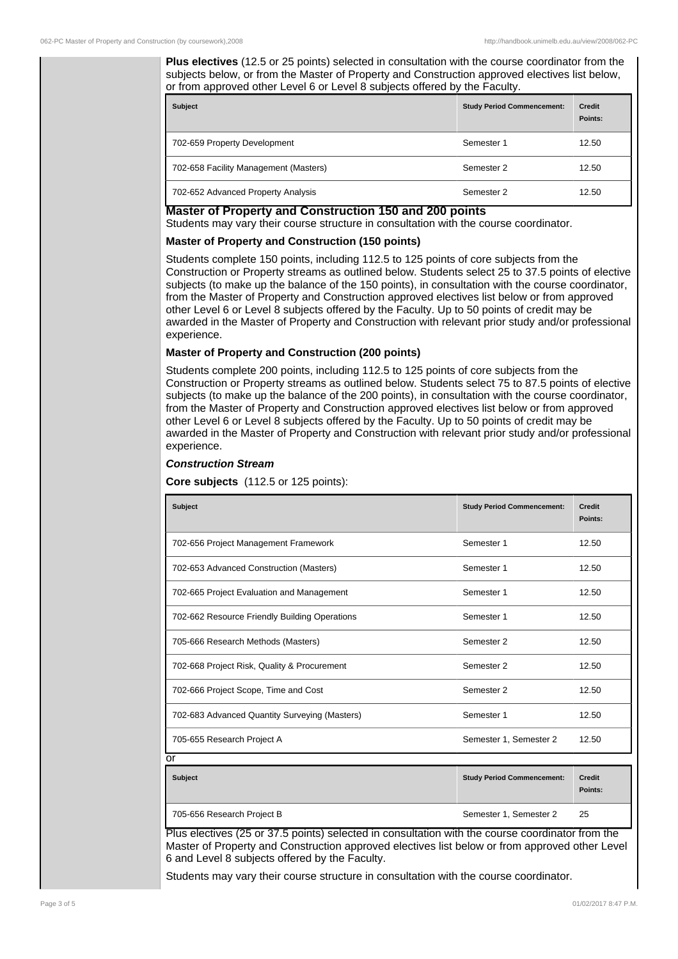**Plus electives** (12.5 or 25 points) selected in consultation with the course coordinator from the subjects below, or from the Master of Property and Construction approved electives list below, or from approved other Level 6 or Level 8 subjects offered by the Faculty.

| <b>Subject</b>                        | <b>Study Period Commencement:</b> | <b>Credit</b><br>Points: |
|---------------------------------------|-----------------------------------|--------------------------|
| 702-659 Property Development          | Semester 1                        | 12.50                    |
| 702-658 Facility Management (Masters) | Semester 2                        | 12.50                    |
| 702-652 Advanced Property Analysis    | Semester 2                        | 12.50                    |

#### **Master of Property and Construction 150 and 200 points**

Students may vary their course structure in consultation with the course coordinator.

# **Master of Property and Construction (150 points)**

Students complete 150 points, including 112.5 to 125 points of core subjects from the Construction or Property streams as outlined below. Students select 25 to 37.5 points of elective subjects (to make up the balance of the 150 points), in consultation with the course coordinator, from the Master of Property and Construction approved electives list below or from approved other Level 6 or Level 8 subjects offered by the Faculty. Up to 50 points of credit may be awarded in the Master of Property and Construction with relevant prior study and/or professional experience.

### **Master of Property and Construction (200 points)**

Students complete 200 points, including 112.5 to 125 points of core subjects from the Construction or Property streams as outlined below. Students select 75 to 87.5 points of elective subjects (to make up the balance of the 200 points), in consultation with the course coordinator, from the Master of Property and Construction approved electives list below or from approved other Level 6 or Level 8 subjects offered by the Faculty. Up to 50 points of credit may be awarded in the Master of Property and Construction with relevant prior study and/or professional experience.

### **Construction Stream**

**Core subjects** (112.5 or 125 points):

| <b>Subject</b>                                | <b>Study Period Commencement:</b> | <b>Credit</b><br>Points: |
|-----------------------------------------------|-----------------------------------|--------------------------|
| 702-656 Project Management Framework          | Semester 1                        | 12.50                    |
| 702-653 Advanced Construction (Masters)       | Semester 1                        | 12.50                    |
| 702-665 Project Evaluation and Management     | Semester 1                        | 12.50                    |
| 702-662 Resource Friendly Building Operations | Semester 1                        | 12.50                    |
| 705-666 Research Methods (Masters)            | Semester 2                        | 12.50                    |
| 702-668 Project Risk, Quality & Procurement   | Semester 2                        | 12.50                    |
| 702-666 Project Scope, Time and Cost          | Semester 2                        | 12.50                    |
| 702-683 Advanced Quantity Surveying (Masters) | Semester 1                        | 12.50                    |
| 705-655 Research Project A<br>Ωr              | Semester 1, Semester 2            | 12.50                    |

| <b>Subject</b>             | <b>Study Period Commencement:</b> | <b>Credit</b><br>Points: |
|----------------------------|-----------------------------------|--------------------------|
| 705-656 Research Project B | Semester 1, Semester 2            | 25                       |

Plus electives (25 or 37.5 points) selected in consultation with the course coordinator from the Master of Property and Construction approved electives list below or from approved other Level 6 and Level 8 subjects offered by the Faculty.

Students may vary their course structure in consultation with the course coordinator.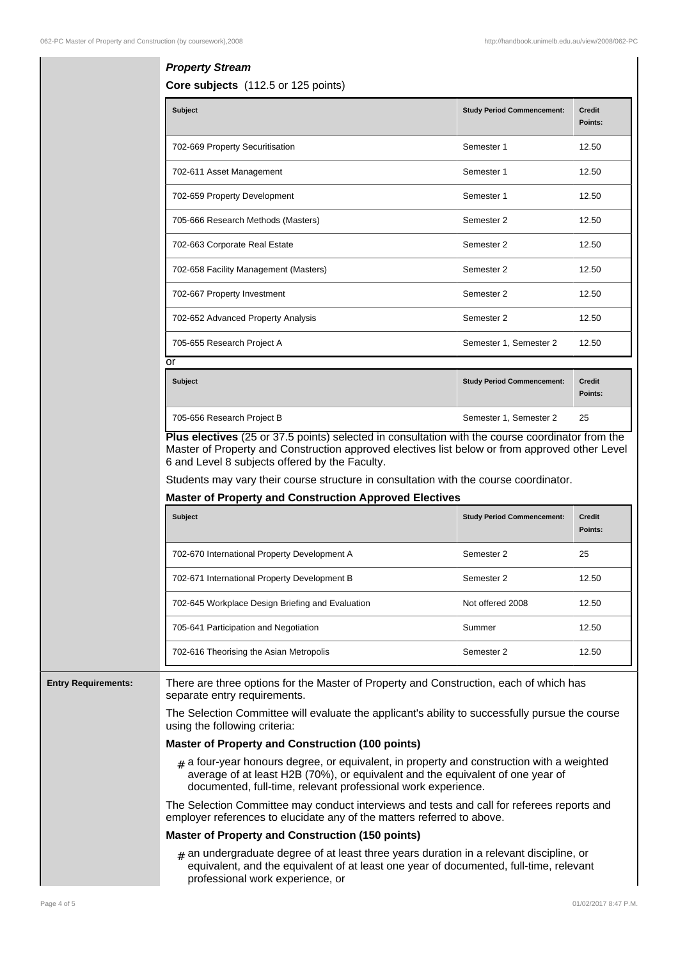# **Property Stream**

**Core subjects** (112.5 or 125 points)

| Subject                               | <b>Study Period Commencement:</b> | Credit<br>Points: |
|---------------------------------------|-----------------------------------|-------------------|
| 702-669 Property Securitisation       | Semester 1                        | 12.50             |
| 702-611 Asset Management              | Semester 1                        | 12.50             |
| 702-659 Property Development          | Semester 1                        | 12.50             |
| 705-666 Research Methods (Masters)    | Semester 2                        | 12.50             |
| 702-663 Corporate Real Estate         | Semester 2                        | 12.50             |
| 702-658 Facility Management (Masters) | Semester 2                        | 12.50             |
| 702-667 Property Investment           | Semester 2                        | 12.50             |
| 702-652 Advanced Property Analysis    | Semester 2                        | 12.50             |
| 705-655 Research Project A            | Semester 1, Semester 2            | 12.50             |
| or                                    |                                   |                   |
| <b>Cubinat</b>                        | Chidu Dariad Cammangamanti        | <b>Crodit</b>     |

| <b>Subject</b>             | <b>Study Period Commencement:</b> | <b>Credit</b><br>Points: |
|----------------------------|-----------------------------------|--------------------------|
| 705-656 Research Project B | Semester 1, Semester 2            | 25                       |

**Plus electives** (25 or 37.5 points) selected in consultation with the course coordinator from the Master of Property and Construction approved electives list below or from approved other Level 6 and Level 8 subjects offered by the Faculty.

Students may vary their course structure in consultation with the course coordinator.

#### **Master of Property and Construction Approved Electives**

| <b>Subject</b>                                   | <b>Study Period Commencement:</b> | <b>Credit</b><br>Points: |
|--------------------------------------------------|-----------------------------------|--------------------------|
| 702-670 International Property Development A     | Semester 2                        | 25                       |
| 702-671 International Property Development B     | Semester 2                        | 12.50                    |
| 702-645 Workplace Design Briefing and Evaluation | Not offered 2008                  | 12.50                    |
| 705-641 Participation and Negotiation            | Summer                            | 12.50                    |
| 702-616 Theorising the Asian Metropolis          | Semester 2                        | 12.50                    |

**Entry Requirements:** There are three options for the Master of Property and Construction, each of which has separate entry requirements.

> The Selection Committee will evaluate the applicant's ability to successfully pursue the course using the following criteria:

## **Master of Property and Construction (100 points)**

# a four-year honours degree, or equivalent, in property and construction with a weighted average of at least H2B (70%), or equivalent and the equivalent of one year of documented, full-time, relevant professional work experience.

The Selection Committee may conduct interviews and tests and call for referees reports and employer references to elucidate any of the matters referred to above.

#### **Master of Property and Construction (150 points)**

# an undergraduate degree of at least three years duration in a relevant discipline, or equivalent, and the equivalent of at least one year of documented, full-time, relevant professional work experience, or